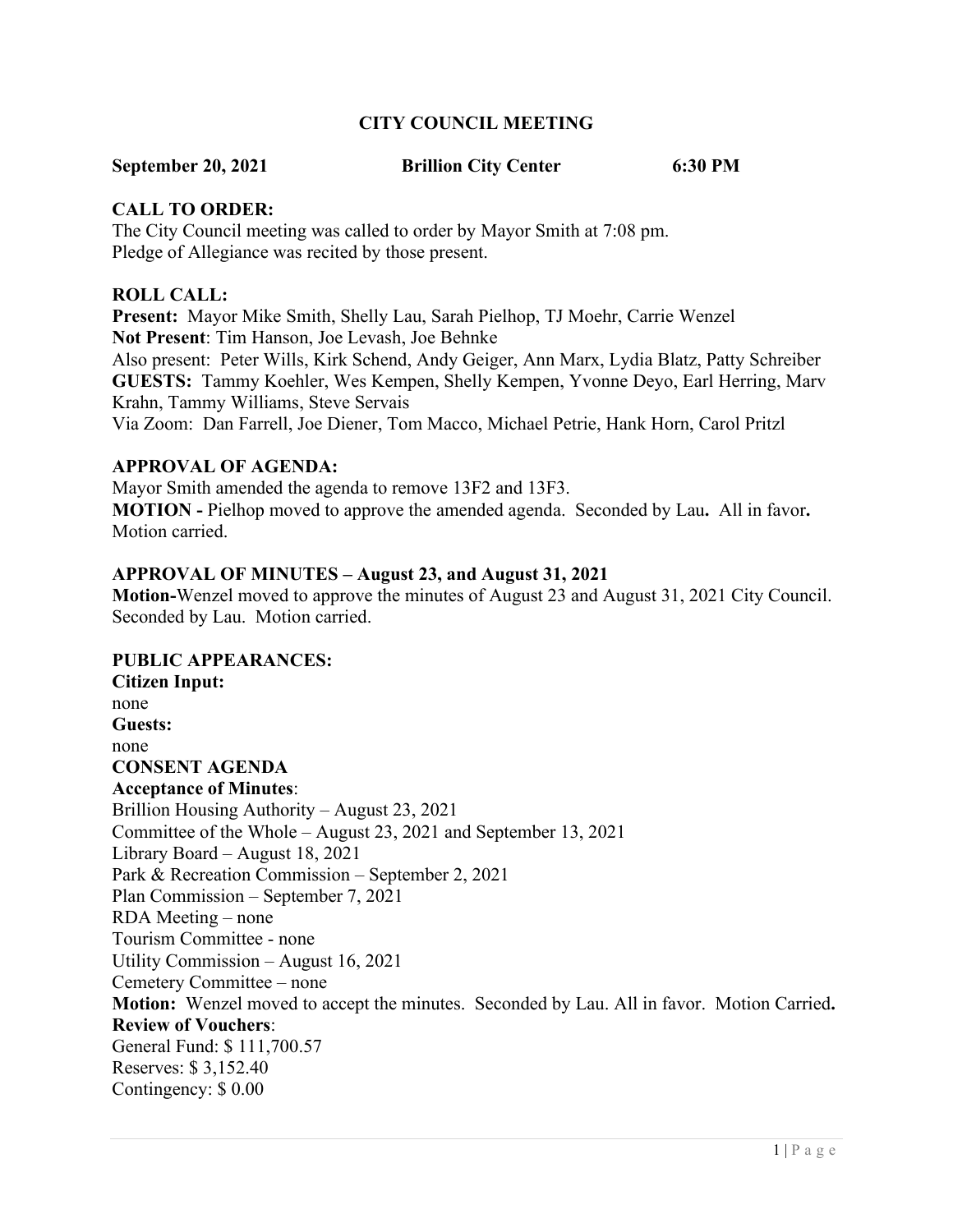# **CITY COUNCIL MEETING**

### **September 20, 2021 Brillion City Center 6:30 PM**

# **CALL TO ORDER:**

The City Council meeting was called to order by Mayor Smith at 7:08 pm. Pledge of Allegiance was recited by those present.

#### **ROLL CALL:**

**Present:** Mayor Mike Smith, Shelly Lau, Sarah Pielhop, TJ Moehr, Carrie Wenzel **Not Present**: Tim Hanson, Joe Levash, Joe Behnke Also present: Peter Wills, Kirk Schend, Andy Geiger, Ann Marx, Lydia Blatz, Patty Schreiber **GUESTS:** Tammy Koehler, Wes Kempen, Shelly Kempen, Yvonne Deyo, Earl Herring, Marv Krahn, Tammy Williams, Steve Servais Via Zoom: Dan Farrell, Joe Diener, Tom Macco, Michael Petrie, Hank Horn, Carol Pritzl

#### **APPROVAL OF AGENDA:**

Mayor Smith amended the agenda to remove 13F2 and 13F3. **MOTION -** Pielhop moved to approve the amended agenda. Seconded by Lau**.** All in favor**.**  Motion carried.

# **APPROVAL OF MINUTES – August 23, and August 31, 2021**

**Motion-**Wenzel moved to approve the minutes of August 23 and August 31, 2021 City Council. Seconded by Lau. Motion carried.

#### **PUBLIC APPEARANCES:**

**Citizen Input:** none **Guests:** none **CONSENT AGENDA Acceptance of Minutes**: Brillion Housing Authority – August 23, 2021 Committee of the Whole – August 23, 2021 and September 13, 2021 Library Board – August 18, 2021 Park & Recreation Commission – September 2, 2021 Plan Commission – September 7, 2021 RDA Meeting – none Tourism Committee - none Utility Commission – August 16, 2021 Cemetery Committee – none **Motion:** Wenzel moved to accept the minutes. Seconded by Lau. All in favor. Motion Carried**. Review of Vouchers**: General Fund: \$ 111,700.57 Reserves: \$ 3,152.40 Contingency: \$ 0.00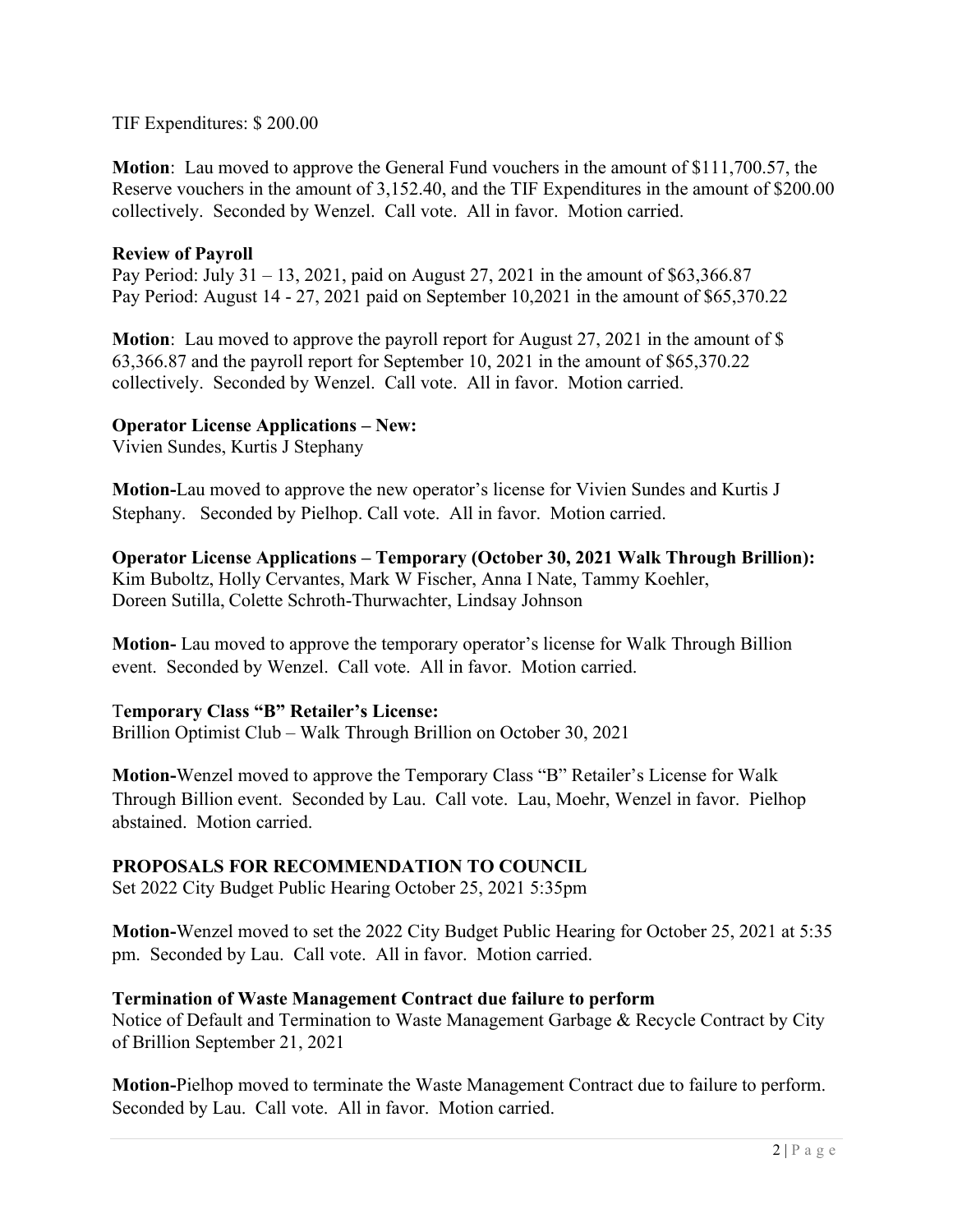# TIF Expenditures: \$ 200.00

**Motion**: Lau moved to approve the General Fund vouchers in the amount of \$111,700.57, the Reserve vouchers in the amount of 3,152.40, and the TIF Expenditures in the amount of \$200.00 collectively. Seconded by Wenzel. Call vote. All in favor. Motion carried.

# **Review of Payroll**

Pay Period: July 31 – 13, 2021, paid on August 27, 2021 in the amount of \$63,366.87 Pay Period: August 14 - 27, 2021 paid on September 10,2021 in the amount of \$65,370.22

**Motion:** Lau moved to approve the payroll report for August 27, 2021 in the amount of \$ 63,366.87 and the payroll report for September 10, 2021 in the amount of \$65,370.22 collectively. Seconded by Wenzel. Call vote. All in favor. Motion carried.

# **Operator License Applications – New:**

Vivien Sundes, Kurtis J Stephany

**Motion-**Lau moved to approve the new operator's license for Vivien Sundes and Kurtis J Stephany. Seconded by Pielhop. Call vote. All in favor. Motion carried.

**Operator License Applications – Temporary (October 30, 2021 Walk Through Brillion):** Kim Buboltz, Holly Cervantes, Mark W Fischer, Anna I Nate, Tammy Koehler, Doreen Sutilla, Colette Schroth-Thurwachter, Lindsay Johnson

**Motion-** Lau moved to approve the temporary operator's license for Walk Through Billion event. Seconded by Wenzel. Call vote. All in favor. Motion carried.

#### T**emporary Class "B" Retailer's License:**

Brillion Optimist Club – Walk Through Brillion on October 30, 2021

**Motion-**Wenzel moved to approve the Temporary Class "B" Retailer's License for Walk Through Billion event. Seconded by Lau. Call vote. Lau, Moehr, Wenzel in favor. Pielhop abstained. Motion carried.

# **PROPOSALS FOR RECOMMENDATION TO COUNCIL**

Set 2022 City Budget Public Hearing October 25, 2021 5:35pm

**Motion-**Wenzel moved to set the 2022 City Budget Public Hearing for October 25, 2021 at 5:35 pm. Seconded by Lau. Call vote. All in favor. Motion carried.

# **Termination of Waste Management Contract due failure to perform**

Notice of Default and Termination to Waste Management Garbage & Recycle Contract by City of Brillion September 21, 2021

**Motion-**Pielhop moved to terminate the Waste Management Contract due to failure to perform. Seconded by Lau. Call vote. All in favor. Motion carried.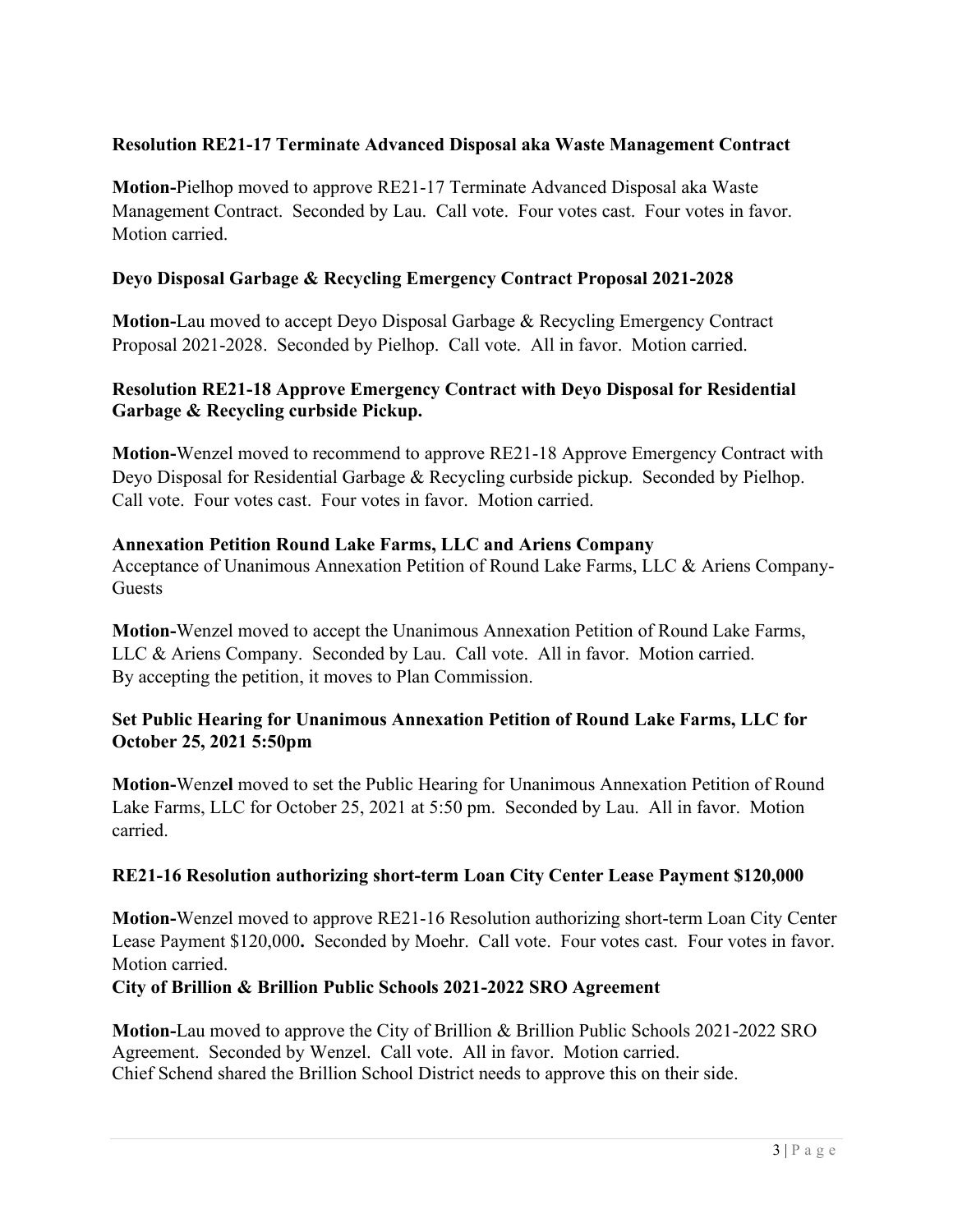# **Resolution RE21-17 Terminate Advanced Disposal aka Waste Management Contract**

**Motion-**Pielhop moved to approve RE21-17 Terminate Advanced Disposal aka Waste Management Contract. Seconded by Lau. Call vote. Four votes cast. Four votes in favor. Motion carried.

# **Deyo Disposal Garbage & Recycling Emergency Contract Proposal 2021-2028**

**Motion-**Lau moved to accept Deyo Disposal Garbage & Recycling Emergency Contract Proposal 2021-2028. Seconded by Pielhop. Call vote. All in favor. Motion carried.

# **Resolution RE21-18 Approve Emergency Contract with Deyo Disposal for Residential Garbage & Recycling curbside Pickup.**

**Motion-**Wenzel moved to recommend to approve RE21-18 Approve Emergency Contract with Deyo Disposal for Residential Garbage & Recycling curbside pickup. Seconded by Pielhop. Call vote. Four votes cast. Four votes in favor. Motion carried.

# **Annexation Petition Round Lake Farms, LLC and Ariens Company**

Acceptance of Unanimous Annexation Petition of Round Lake Farms, LLC & Ariens Company-**Guests** 

**Motion-**Wenzel moved to accept the Unanimous Annexation Petition of Round Lake Farms, LLC & Ariens Company. Seconded by Lau. Call vote. All in favor. Motion carried. By accepting the petition, it moves to Plan Commission.

# **Set Public Hearing for Unanimous Annexation Petition of Round Lake Farms, LLC for October 25, 2021 5:50pm**

**Motion-**Wenz**el** moved to set the Public Hearing for Unanimous Annexation Petition of Round Lake Farms, LLC for October 25, 2021 at 5:50 pm. Seconded by Lau. All in favor. Motion carried.

# **RE21-16 Resolution authorizing short-term Loan City Center Lease Payment \$120,000**

**Motion-**Wenzel moved to approve RE21-16 Resolution authorizing short-term Loan City Center Lease Payment \$120,000**.** Seconded by Moehr. Call vote. Four votes cast. Four votes in favor. Motion carried.

# **City of Brillion & Brillion Public Schools 2021-2022 SRO Agreement**

**Motion-**Lau moved to approve the City of Brillion & Brillion Public Schools 2021-2022 SRO Agreement. Seconded by Wenzel. Call vote. All in favor. Motion carried. Chief Schend shared the Brillion School District needs to approve this on their side.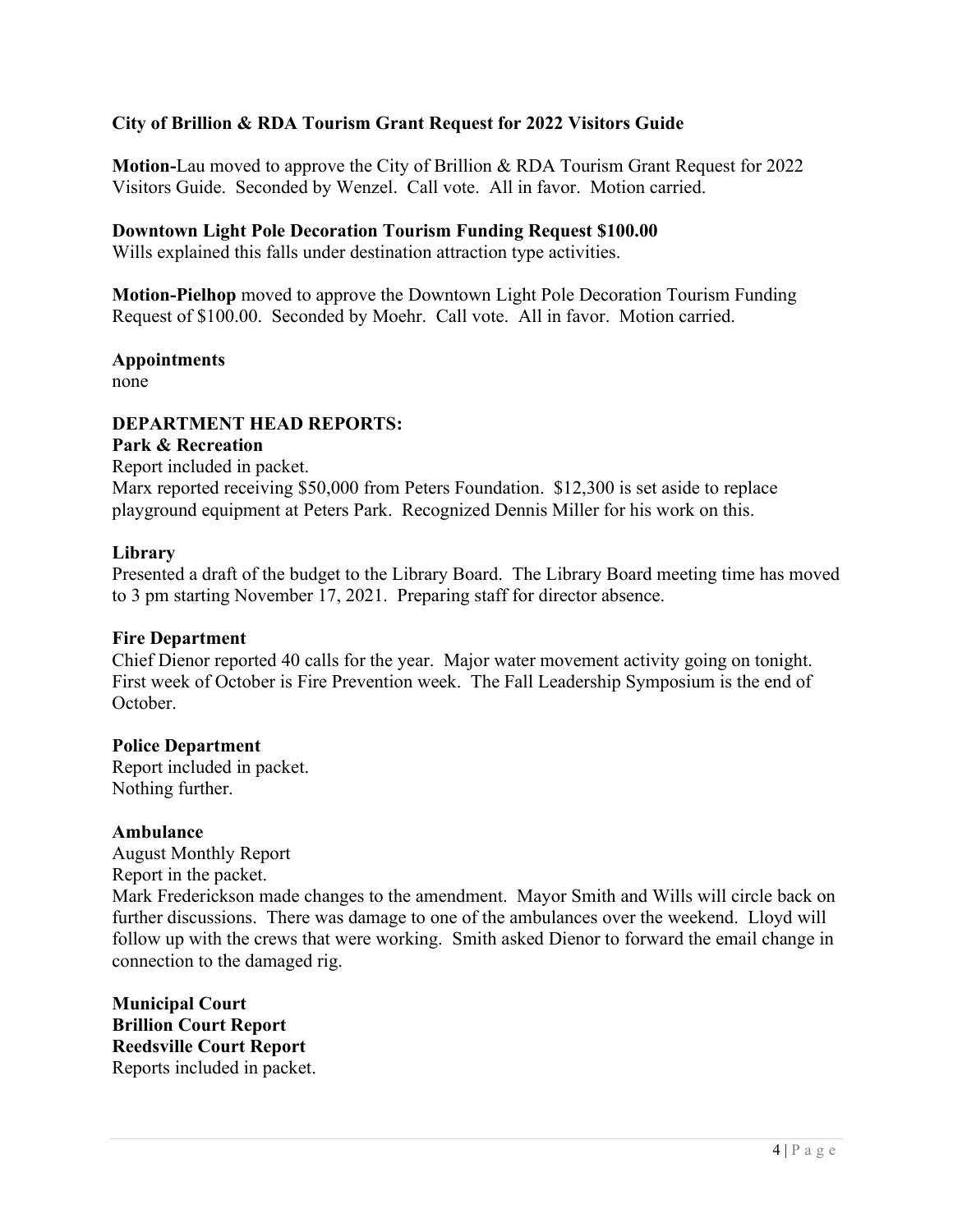# **City of Brillion & RDA Tourism Grant Request for 2022 Visitors Guide**

**Motion-**Lau moved to approve the City of Brillion & RDA Tourism Grant Request for 2022 Visitors Guide. Seconded by Wenzel. Call vote. All in favor. Motion carried.

#### **Downtown Light Pole Decoration Tourism Funding Request \$100.00**

Wills explained this falls under destination attraction type activities.

**Motion-Pielhop** moved to approve the Downtown Light Pole Decoration Tourism Funding Request of \$100.00. Seconded by Moehr. Call vote. All in favor. Motion carried.

**Appointments**

none

#### **DEPARTMENT HEAD REPORTS:**

#### **Park & Recreation**

Report included in packet. Marx reported receiving \$50,000 from Peters Foundation. \$12,300 is set aside to replace playground equipment at Peters Park. Recognized Dennis Miller for his work on this.

#### **Library**

Presented a draft of the budget to the Library Board. The Library Board meeting time has moved to 3 pm starting November 17, 2021. Preparing staff for director absence.

#### **Fire Department**

Chief Dienor reported 40 calls for the year. Major water movement activity going on tonight. First week of October is Fire Prevention week. The Fall Leadership Symposium is the end of October.

#### **Police Department**

Report included in packet. Nothing further.

#### **Ambulance**

August Monthly Report Report in the packet.

Mark Frederickson made changes to the amendment. Mayor Smith and Wills will circle back on further discussions. There was damage to one of the ambulances over the weekend. Lloyd will follow up with the crews that were working. Smith asked Dienor to forward the email change in connection to the damaged rig.

**Municipal Court Brillion Court Report Reedsville Court Report** Reports included in packet.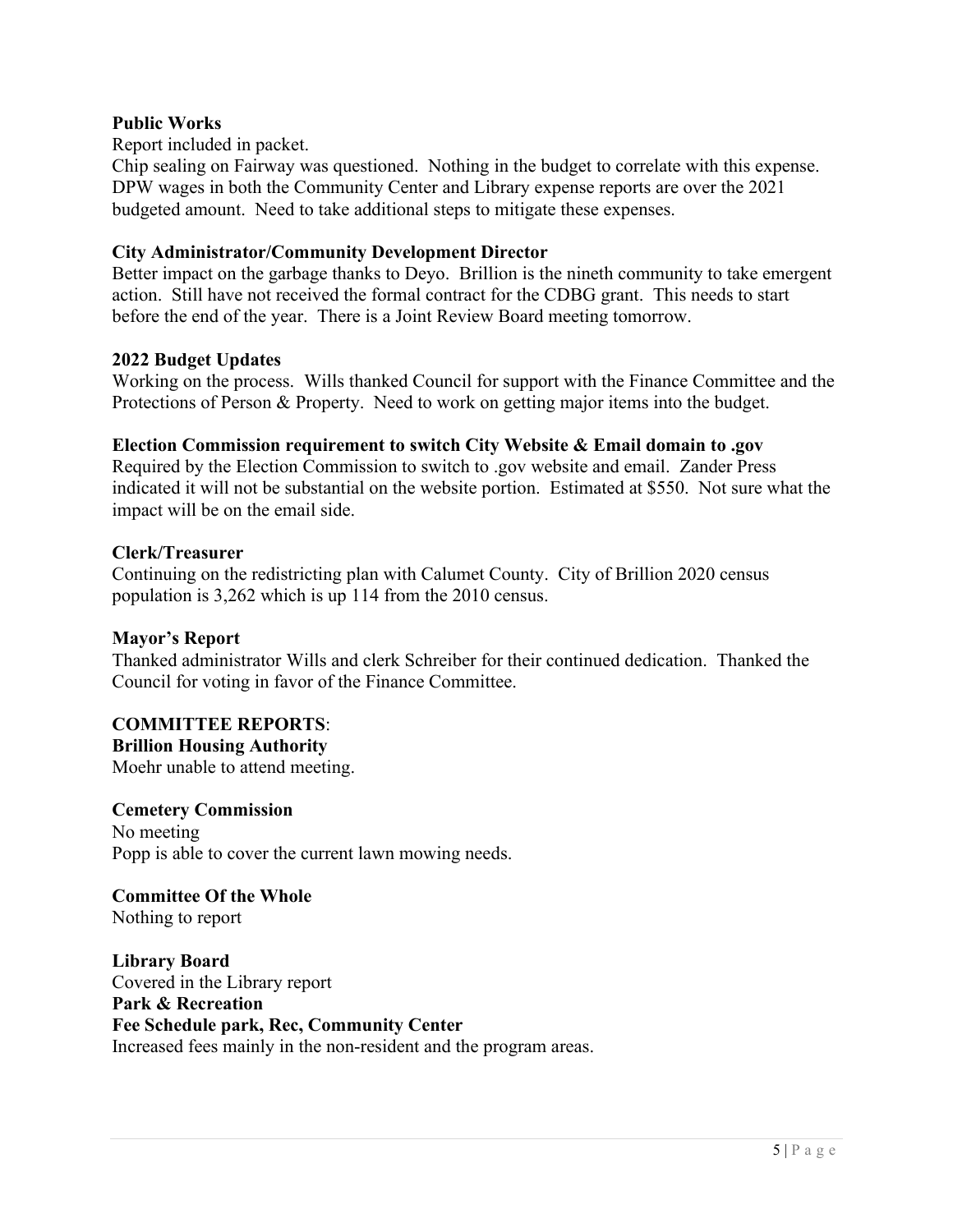# **Public Works**

Report included in packet.

Chip sealing on Fairway was questioned. Nothing in the budget to correlate with this expense. DPW wages in both the Community Center and Library expense reports are over the 2021 budgeted amount. Need to take additional steps to mitigate these expenses.

# **City Administrator/Community Development Director**

Better impact on the garbage thanks to Deyo. Brillion is the nineth community to take emergent action. Still have not received the formal contract for the CDBG grant. This needs to start before the end of the year. There is a Joint Review Board meeting tomorrow.

#### **2022 Budget Updates**

Working on the process. Wills thanked Council for support with the Finance Committee and the Protections of Person & Property. Need to work on getting major items into the budget.

# **Election Commission requirement to switch City Website & Email domain to .gov**

Required by the Election Commission to switch to .gov website and email. Zander Press indicated it will not be substantial on the website portion. Estimated at \$550. Not sure what the impact will be on the email side.

#### **Clerk/Treasurer**

Continuing on the redistricting plan with Calumet County. City of Brillion 2020 census population is 3,262 which is up 114 from the 2010 census.

#### **Mayor's Report**

Thanked administrator Wills and clerk Schreiber for their continued dedication. Thanked the Council for voting in favor of the Finance Committee.

# **COMMITTEE REPORTS**:

**Brillion Housing Authority**

Moehr unable to attend meeting.

#### **Cemetery Commission**

No meeting Popp is able to cover the current lawn mowing needs.

# **Committee Of the Whole**

Nothing to report

**Library Board** Covered in the Library report **Park & Recreation Fee Schedule park, Rec, Community Center** Increased fees mainly in the non-resident and the program areas.